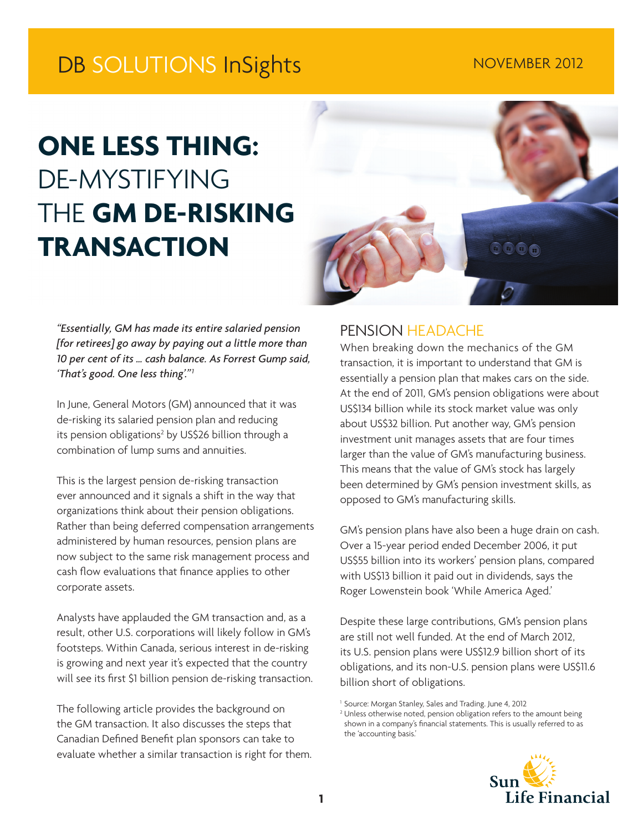# DB SOLUTIONS InSights NOVEMBER 2012

# **ONE LESS THING:** DE-MYSTIFYING THE **GM DE-RISKING TRANSACTION**



*"Essentially, GM has made its entire salaried pension [for retirees] go away by paying out a little more than 10 per cent of its … cash balance. As Forrest Gump said, 'That's good. One less thing'."1*

In June, General Motors (GM) announced that it was de-risking its salaried pension plan and reducing its pension obligations<sup>2</sup> by US\$26 billion through a combination of lump sums and annuities.

This is the largest pension de-risking transaction ever announced and it signals a shift in the way that organizations think about their pension obligations. Rather than being deferred compensation arrangements administered by human resources, pension plans are now subject to the same risk management process and cash flow evaluations that finance applies to other corporate assets.

Analysts have applauded the GM transaction and, as a result, other U.S. corporations will likely follow in GM's footsteps. Within Canada, serious interest in de-risking is growing and next year it's expected that the country will see its first \$1 billion pension de-risking transaction.

The following article provides the background on the GM transaction. It also discusses the steps that Canadian Defined Benefit plan sponsors can take to evaluate whether a similar transaction is right for them.

# PENSION HEADACHE

When breaking down the mechanics of the GM transaction, it is important to understand that GM is essentially a pension plan that makes cars on the side. At the end of 2011, GM's pension obligations were about US\$134 billion while its stock market value was only about US\$32 billion. Put another way, GM's pension investment unit manages assets that are four times larger than the value of GM's manufacturing business. This means that the value of GM's stock has largely been determined by GM's pension investment skills, as opposed to GM's manufacturing skills.

GM's pension plans have also been a huge drain on cash. Over a 15-year period ended December 2006, it put US\$55 billion into its workers' pension plans, compared with US\$13 billion it paid out in dividends, says the Roger Lowenstein book 'While America Aged.'

Despite these large contributions, GM's pension plans are still not well funded. At the end of March 2012, its U.S. pension plans were US\$12.9 billion short of its obligations, and its non-U.S. pension plans were US\$11.6 billion short of obligations.

<sup>&</sup>lt;sup>2</sup> Unless otherwise noted, pension obligation refers to the amount being shown in a company's financial statements. This is usually referred to as the 'accounting basis.'



<sup>&</sup>lt;sup>1</sup> Source: Morgan Stanley, Sales and Trading. June 4, 2012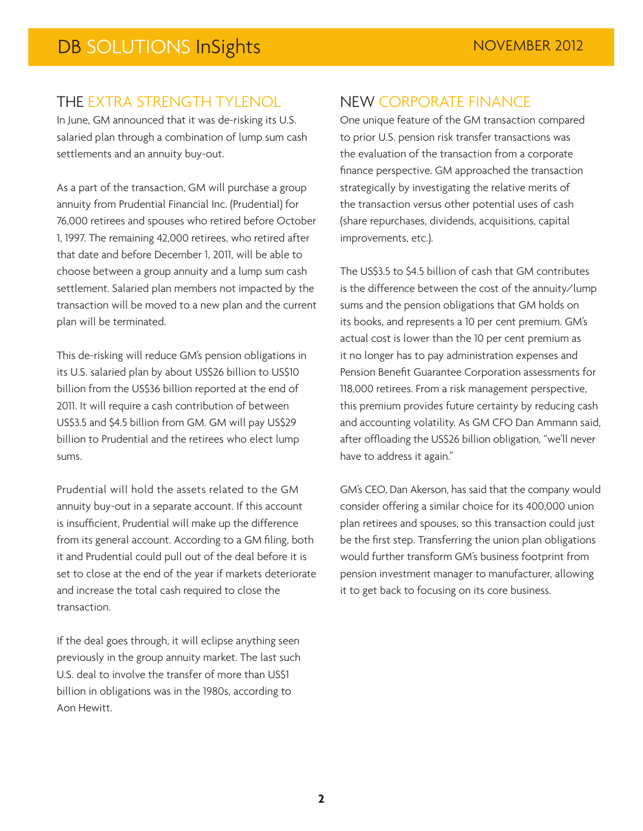## THE EXTRA STRENGTH TYLENOL

In June, GM announced that it was de-risking its U.S. salaried plan through a combination of lump sum cash settlements and an annuity buy-out.

As a part of the transaction, GM will purchase a group annuity from Prudential Financial Inc. (Prudential) for 76,000 retirees and spouses who retired before October 1, 1997. The remaining 42,000 retirees, who retired after that date and before December 1, 2011, will be able to choose between a group annuity and a lump sum cash settlement. Salaried plan members not impacted by the transaction will be moved to a new plan and the current plan will be terminated.

This de-risking will reduce GM's pension obligations in its U.S. salaried plan by about US\$26 billion to US\$10 billion from the US\$36 billion reported at the end of 2011. It will require a cash contribution of between US\$3.5 and \$4.5 billion from GM. GM will pay US\$29 billion to Prudential and the retirees who elect lump sums.

Prudential will hold the assets related to the GM annuity buy-out in a separate account. If this account is insufficient, Prudential will make up the difference from its general account. According to a GM filing, both it and Prudential could pull out of the deal before it is set to close at the end of the year if markets deteriorate and increase the total cash required to close the transaction.

If the deal goes through, it will eclipse anything seen previously in the group annuity market. The last such U.S. deal to involve the transfer of more than US\$1 billion in obligations was in the 1980s, according to Aon Hewitt.

# NEW CORPORATE FINANCE

One unique feature of the GM transaction compared to prior U.S. pension risk transfer transactions was the evaluation of the transaction from a corporate finance perspective. GM approached the transaction strategically by investigating the relative merits of the transaction versus other potential uses of cash (share repurchases, dividends, acquisitions, capital improvements, etc.).

The US\$3.5 to \$4.5 billion of cash that GM contributes is the difference between the cost of the annuity/lump sums and the pension obligations that GM holds on its books, and represents a 10 per cent premium. GM's actual cost is lower than the 10 per cent premium as it no longer has to pay administration expenses and Pension Benefit Guarantee Corporation assessments for 118,000 retirees. From a risk management perspective, this premium provides future certainty by reducing cash and accounting volatility. As GM CFO Dan Ammann said, after offloading the US\$26 billion obligation, "we'll never have to address it again."

GM's CEO, Dan Akerson, has said that the company would consider offering a similar choice for its 400,000 union plan retirees and spouses, so this transaction could just be the first step. Transferring the union plan obligations would further transform GM's business footprint from pension investment manager to manufacturer, allowing it to get back to focusing on its core business.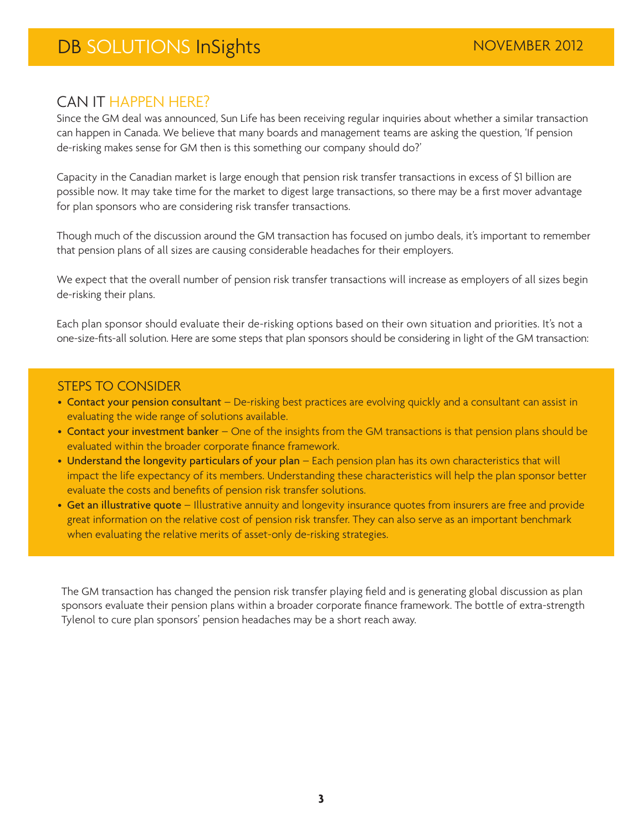CAN IT HAPPEN HERE?<br>Since the GM deal was announced, Sun Life has been receiving regular inquiries about whether a similar transaction can happen in Canada. We believe that many boards and management teams are asking the question, 'If pension de-risking makes sense for GM then is this something our company should do?'

Capacity in the Canadian market is large enough that pension risk transfer transactions in excess of \$1 billion are possible now. It may take time for the market to digest large transactions, so there may be a first mover advantage for plan sponsors who are considering risk transfer transactions.

Though much of the discussion around the GM transaction has focused on jumbo deals, it's important to remember that pension plans of all sizes are causing considerable headaches for their employers.

We expect that the overall number of pension risk transfer transactions will increase as employers of all sizes begin de-risking their plans.

Each plan sponsor should evaluate their de-risking options based on their own situation and priorities. It's not a one-size-fits-all solution. Here are some steps that plan sponsors should be considering in light of the GM transaction:

### STEPS TO CONSIDER

- Contact your pension consultant De-risking best practices are evolving quickly and a consultant can assist in evaluating the wide range of solutions available.
- Contact your investment banker One of the insights from the GM transactions is that pension plans should be evaluated within the broader corporate finance framework.
- Understand the longevity particulars of your plan Each pension plan has its own characteristics that will impact the life expectancy of its members. Understanding these characteristics will help the plan sponsor better evaluate the costs and benefits of pension risk transfer solutions.
- Get an illustrative quote Illustrative annuity and longevity insurance quotes from insurers are free and provide great information on the relative cost of pension risk transfer. They can also serve as an important benchmark when evaluating the relative merits of asset-only de-risking strategies.

The GM transaction has changed the pension risk transfer playing field and is generating global discussion as plan sponsors evaluate their pension plans within a broader corporate finance framework. The bottle of extra-strength Tylenol to cure plan sponsors' pension headaches may be a short reach away.